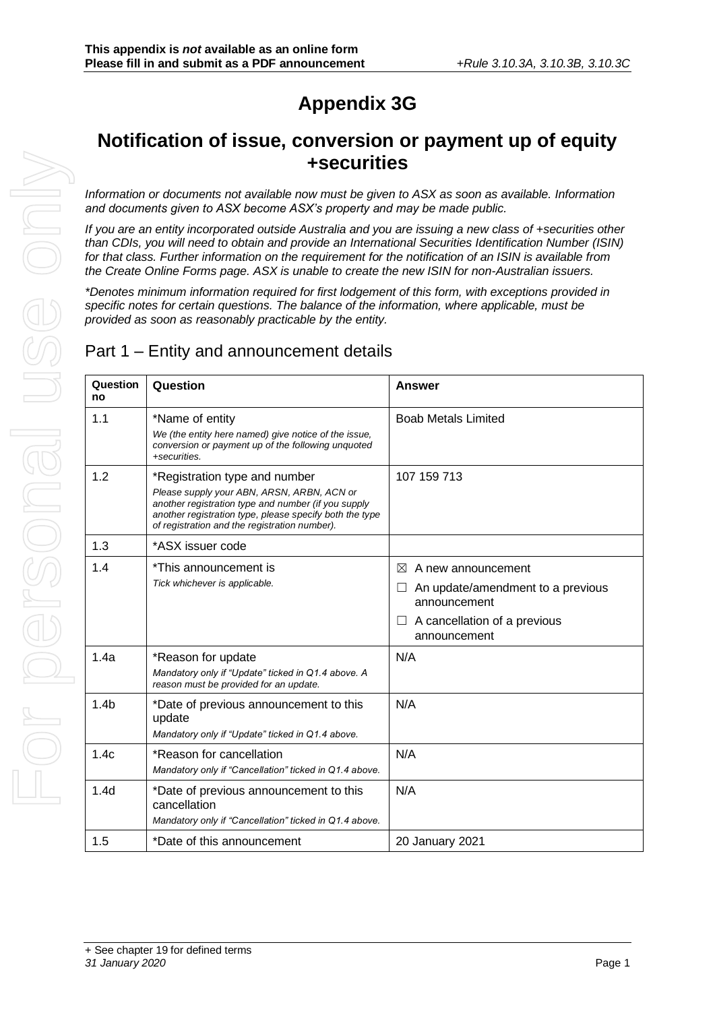## **Appendix 3G**

## **Notification of issue, conversion or payment up of equity +securities**

*Information or documents not available now must be given to ASX as soon as available. Information and documents given to ASX become ASX's property and may be made public.*

*If you are an entity incorporated outside Australia and you are issuing a new class of +securities other than CDIs, you will need to obtain and provide an International Securities Identification Number (ISIN) for that class. Further information on the requirement for the notification of an ISIN is available from the Create Online Forms page. ASX is unable to create the new ISIN for non-Australian issuers.*

*\*Denotes minimum information required for first lodgement of this form, with exceptions provided in specific notes for certain questions. The balance of the information, where applicable, must be provided as soon as reasonably practicable by the entity.*

#### Part 1 – Entity and announcement details

| Question<br>no   | Question                                                                                                                                                                                                                                       | <b>Answer</b>                                                                                                                     |
|------------------|------------------------------------------------------------------------------------------------------------------------------------------------------------------------------------------------------------------------------------------------|-----------------------------------------------------------------------------------------------------------------------------------|
| 1.1              | *Name of entity<br>We (the entity here named) give notice of the issue,<br>conversion or payment up of the following unquoted<br>+securities.                                                                                                  | <b>Boab Metals Limited</b>                                                                                                        |
| 1.2              | *Registration type and number<br>Please supply your ABN, ARSN, ARBN, ACN or<br>another registration type and number (if you supply<br>another registration type, please specify both the type<br>of registration and the registration number). | 107 159 713                                                                                                                       |
| 1.3              | *ASX issuer code                                                                                                                                                                                                                               |                                                                                                                                   |
| 1.4              | *This announcement is<br>Tick whichever is applicable.                                                                                                                                                                                         | ⊠<br>A new announcement<br>An update/amendment to a previous<br>announcement<br>A cancellation of a previous<br>ப<br>announcement |
| 1.4a             | *Reason for update<br>Mandatory only if "Update" ticked in Q1.4 above. A<br>reason must be provided for an update.                                                                                                                             | N/A                                                                                                                               |
| 1.4 <sub>b</sub> | *Date of previous announcement to this<br>update<br>Mandatory only if "Update" ticked in Q1.4 above.                                                                                                                                           | N/A                                                                                                                               |
| 1.4c             | *Reason for cancellation<br>Mandatory only if "Cancellation" ticked in Q1.4 above.                                                                                                                                                             | N/A                                                                                                                               |
| 1.4 <sub>d</sub> | *Date of previous announcement to this<br>cancellation<br>Mandatory only if "Cancellation" ticked in Q1.4 above.                                                                                                                               | N/A                                                                                                                               |
| 1.5              | *Date of this announcement                                                                                                                                                                                                                     | 20 January 2021                                                                                                                   |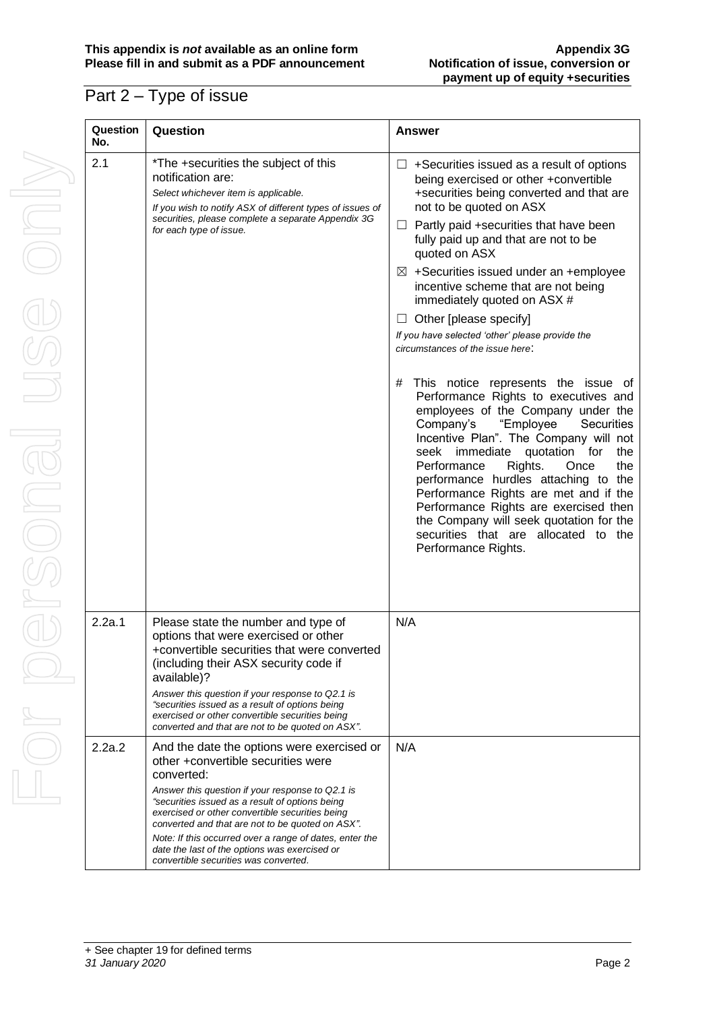## Part 2 – Type of issue

| Question<br>No. | Question                                                                                                                                                                                                                                               |
|-----------------|--------------------------------------------------------------------------------------------------------------------------------------------------------------------------------------------------------------------------------------------------------|
| 2.1             | *The +securities the su<br>notification are:<br>Select whichever item is app<br>If you wish to notify ASX of o<br>securities, please complete<br>for each type of issue.                                                                               |
|                 |                                                                                                                                                                                                                                                        |
|                 |                                                                                                                                                                                                                                                        |
| 2.2a.1          | Please state the numb<br>options that were exer<br>+convertible securities<br>(including their ASX se<br>available)?<br>Answer this question if your<br>"securities issued as a resul<br>exercised or other convertib<br>converted and that are not to |
| 2.2a.2          | And the date the optior<br>other +convertible sec<br>converted:<br>Answer this question if your<br>"securities issued as a resul<br>exercised or other convertib                                                                                       |

| Question<br>No. | Question                                                                                                                                                                                                                                                                                                                                                                                                                                                          | <b>Answer</b>                                                                                                                                                                                                                                                                                                                                                                                                                                                                                                                                                                                                                                                                                                                                                                                                                                                                                                                                                                                                                                                               |
|-----------------|-------------------------------------------------------------------------------------------------------------------------------------------------------------------------------------------------------------------------------------------------------------------------------------------------------------------------------------------------------------------------------------------------------------------------------------------------------------------|-----------------------------------------------------------------------------------------------------------------------------------------------------------------------------------------------------------------------------------------------------------------------------------------------------------------------------------------------------------------------------------------------------------------------------------------------------------------------------------------------------------------------------------------------------------------------------------------------------------------------------------------------------------------------------------------------------------------------------------------------------------------------------------------------------------------------------------------------------------------------------------------------------------------------------------------------------------------------------------------------------------------------------------------------------------------------------|
| 2.1             | *The +securities the subject of this<br>notification are:<br>Select whichever item is applicable.<br>If you wish to notify ASX of different types of issues of<br>securities, please complete a separate Appendix 3G<br>for each type of issue.                                                                                                                                                                                                                   | +Securities issued as a result of options<br>ப<br>being exercised or other + convertible<br>+securities being converted and that are<br>not to be quoted on ASX<br>$\Box$ Partly paid +securities that have been<br>fully paid up and that are not to be<br>quoted on ASX<br>$\boxtimes$ +Securities issued under an +employee<br>incentive scheme that are not being<br>immediately quoted on ASX #<br>$\Box$ Other [please specify]<br>If you have selected 'other' please provide the<br>circumstances of the issue here:<br>This notice represents the issue of<br>#<br>Performance Rights to executives and<br>employees of the Company under the<br>Company's<br>"Employee<br><b>Securities</b><br>Incentive Plan". The Company will not<br>immediate<br>for<br>seek<br>quotation<br>the<br>Rights.<br>the<br>Performance<br>Once<br>performance hurdles attaching to the<br>Performance Rights are met and if the<br>Performance Rights are exercised then<br>the Company will seek quotation for the<br>securities that are allocated to the<br>Performance Rights. |
| 2.2a.1          | Please state the number and type of<br>options that were exercised or other<br>+convertible securities that were converted<br>(including their ASX security code if<br>available)?<br>Answer this question if your response to Q2.1 is<br>"securities issued as a result of options being<br>exercised or other convertible securities being<br>converted and that are not to be quoted on ASX".                                                                  | N/A                                                                                                                                                                                                                                                                                                                                                                                                                                                                                                                                                                                                                                                                                                                                                                                                                                                                                                                                                                                                                                                                         |
| 2.2a.2          | And the date the options were exercised or<br>other +convertible securities were<br>converted:<br>Answer this question if your response to Q2.1 is<br>"securities issued as a result of options being<br>exercised or other convertible securities being<br>converted and that are not to be quoted on ASX".<br>Note: If this occurred over a range of dates, enter the<br>date the last of the options was exercised or<br>convertible securities was converted. | N/A                                                                                                                                                                                                                                                                                                                                                                                                                                                                                                                                                                                                                                                                                                                                                                                                                                                                                                                                                                                                                                                                         |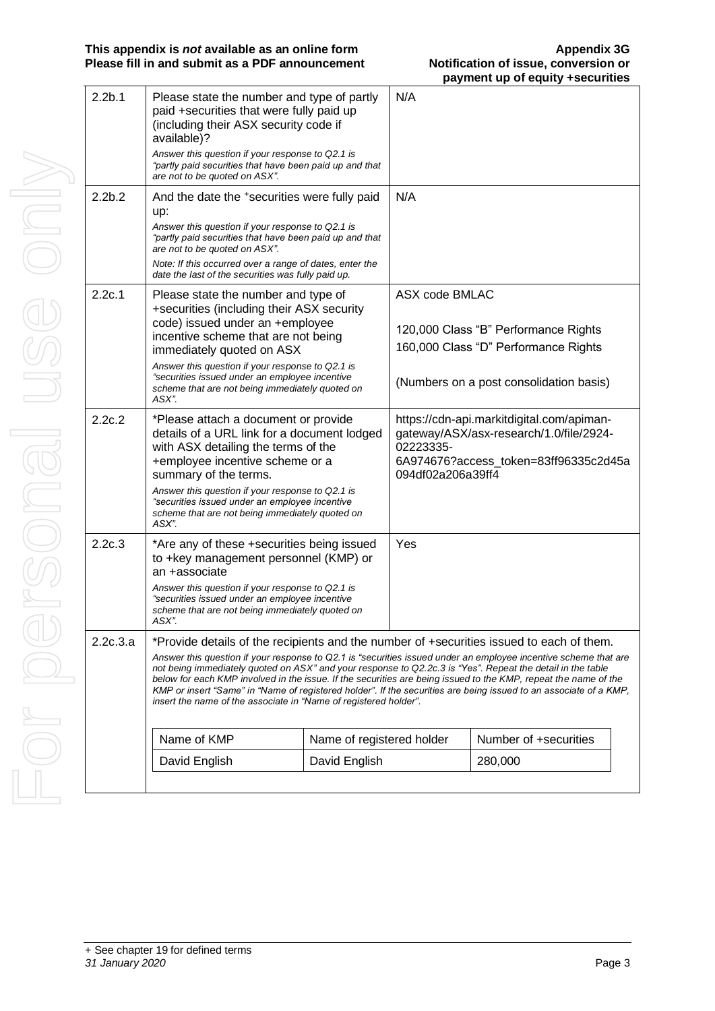| 2.2 <sub>b.1</sub> | Please state the number and type of partly<br>paid +securities that were fully paid up<br>(including their ASX security code if<br>available)?                                                                                                                                                                                                                                                                                                                                                                                            |  | N/A                            |                                                                                                                               |
|--------------------|-------------------------------------------------------------------------------------------------------------------------------------------------------------------------------------------------------------------------------------------------------------------------------------------------------------------------------------------------------------------------------------------------------------------------------------------------------------------------------------------------------------------------------------------|--|--------------------------------|-------------------------------------------------------------------------------------------------------------------------------|
|                    | Answer this question if your response to Q2.1 is<br>"partly paid securities that have been paid up and that<br>are not to be quoted on ASX".                                                                                                                                                                                                                                                                                                                                                                                              |  |                                |                                                                                                                               |
| 2.2 <sub>b.2</sub> | And the date the +securities were fully paid<br>up:<br>Answer this question if your response to Q2.1 is                                                                                                                                                                                                                                                                                                                                                                                                                                   |  | N/A                            |                                                                                                                               |
|                    | "partly paid securities that have been paid up and that<br>are not to be quoted on ASX".                                                                                                                                                                                                                                                                                                                                                                                                                                                  |  |                                |                                                                                                                               |
|                    | Note: If this occurred over a range of dates, enter the<br>date the last of the securities was fully paid up.                                                                                                                                                                                                                                                                                                                                                                                                                             |  |                                |                                                                                                                               |
| 2.2c.1             | Please state the number and type of<br>+securities (including their ASX security<br>code) issued under an +employee                                                                                                                                                                                                                                                                                                                                                                                                                       |  | ASX code BMLAC                 |                                                                                                                               |
|                    | incentive scheme that are not being<br>immediately quoted on ASX                                                                                                                                                                                                                                                                                                                                                                                                                                                                          |  |                                | 120,000 Class "B" Performance Rights<br>160,000 Class "D" Performance Rights                                                  |
|                    | Answer this question if your response to Q2.1 is<br>"securities issued under an employee incentive<br>scheme that are not being immediately quoted on<br>ASX".                                                                                                                                                                                                                                                                                                                                                                            |  |                                | (Numbers on a post consolidation basis)                                                                                       |
| 2.2c.2             | *Please attach a document or provide<br>details of a URL link for a document lodged<br>with ASX detailing the terms of the<br>+employee incentive scheme or a<br>summary of the terms.<br>Answer this question if your response to Q2.1 is<br>"securities issued under an employee incentive<br>scheme that are not being immediately quoted on                                                                                                                                                                                           |  | 02223335-<br>094df02a206a39ff4 | https://cdn-api.markitdigital.com/apiman-<br>gateway/ASX/asx-research/1.0/file/2924-<br>6A974676?access_token=83ff96335c2d45a |
| 2.2c.3             | ASX".<br>*Are any of these +securities being issued<br>to +key management personnel (KMP) or<br>an +associate                                                                                                                                                                                                                                                                                                                                                                                                                             |  | Yes                            |                                                                                                                               |
|                    | Answer this question if your response to Q2.1 is<br>"securities issued under an employee incentive<br>scheme that are not being immediately quoted on<br>ASX".                                                                                                                                                                                                                                                                                                                                                                            |  |                                |                                                                                                                               |
| 2.2c.3.a           | *Provide details of the recipients and the number of +securities issued to each of them.                                                                                                                                                                                                                                                                                                                                                                                                                                                  |  |                                |                                                                                                                               |
|                    | Answer this question if your response to Q2.1 is "securities issued under an employee incentive scheme that are<br>not being immediately quoted on ASX" and your response to Q2.2c.3 is "Yes". Repeat the detail in the table<br>below for each KMP involved in the issue. If the securities are being issued to the KMP, repeat the name of the<br>KMP or insert "Same" in "Name of registered holder". If the securities are being issued to an associate of a KMP,<br>insert the name of the associate in "Name of registered holder". |  |                                |                                                                                                                               |
|                    | Name of KMP<br>Name of registered holder<br>David English<br>David English                                                                                                                                                                                                                                                                                                                                                                                                                                                                |  |                                | Number of +securities                                                                                                         |
|                    |                                                                                                                                                                                                                                                                                                                                                                                                                                                                                                                                           |  |                                | 280,000                                                                                                                       |
|                    |                                                                                                                                                                                                                                                                                                                                                                                                                                                                                                                                           |  |                                |                                                                                                                               |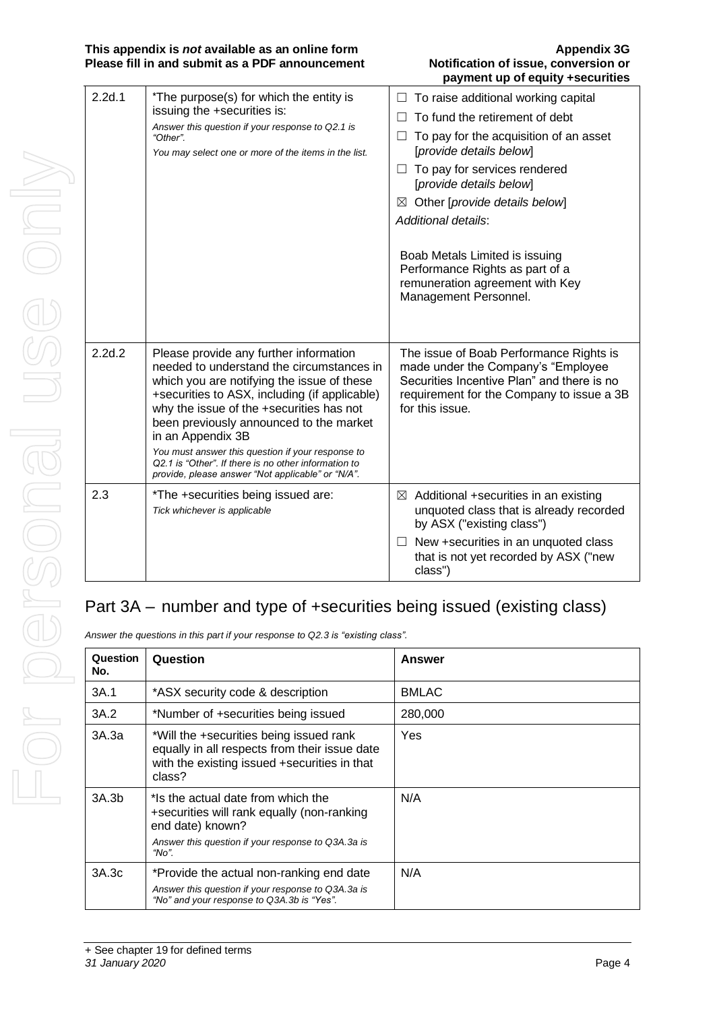#### **This appendix is** *not* **available as an online form Appendix 3G Please fill in and submit as a PDF announcement**

# **payment up of equity +securities**

| 2.2d.1 | *The purpose(s) for which the entity is<br>issuing the +securities is:<br>Answer this question if your response to Q2.1 is<br>"Other".<br>You may select one or more of the items in the list.                                                                                                                                                                                                                                                                   | To raise additional working capital<br>To fund the retirement of debt<br>To pay for the acquisition of an asset<br>ш<br>[provide details below]<br>$\Box$ To pay for services rendered<br>[provide details below]<br>Other [provide details below]<br>$\bowtie$<br>Additional details:<br>Boab Metals Limited is issuing<br>Performance Rights as part of a<br>remuneration agreement with Key<br>Management Personnel. |
|--------|------------------------------------------------------------------------------------------------------------------------------------------------------------------------------------------------------------------------------------------------------------------------------------------------------------------------------------------------------------------------------------------------------------------------------------------------------------------|-------------------------------------------------------------------------------------------------------------------------------------------------------------------------------------------------------------------------------------------------------------------------------------------------------------------------------------------------------------------------------------------------------------------------|
| 2.2d.2 | Please provide any further information<br>needed to understand the circumstances in<br>which you are notifying the issue of these<br>+securities to ASX, including (if applicable)<br>why the issue of the +securities has not<br>been previously announced to the market<br>in an Appendix 3B<br>You must answer this question if your response to<br>Q2.1 is "Other". If there is no other information to<br>provide, please answer "Not applicable" or "N/A". | The issue of Boab Performance Rights is<br>made under the Company's "Employee<br>Securities Incentive Plan" and there is no<br>requirement for the Company to issue a 3B<br>for this issue.                                                                                                                                                                                                                             |
| 2.3    | *The +securities being issued are:<br>Tick whichever is applicable                                                                                                                                                                                                                                                                                                                                                                                               | $\boxtimes$ Additional +securities in an existing<br>unquoted class that is already recorded<br>by ASX ("existing class")<br>New +securities in an unquoted class<br>that is not yet recorded by ASX ("new<br>class")                                                                                                                                                                                                   |

## Part 3A – number and type of +securities being issued (existing class)

*Answer the questions in this part if your response to Q2.3 is "existing class".*

| Question<br>No. | Question                                                                                                                                                           | Answer       |
|-----------------|--------------------------------------------------------------------------------------------------------------------------------------------------------------------|--------------|
| 3A.1            | *ASX security code & description                                                                                                                                   | <b>BMLAC</b> |
| 3A.2            | *Number of +securities being issued                                                                                                                                | 280,000      |
| 3A.3a           | *Will the +securities being issued rank<br>equally in all respects from their issue date<br>with the existing issued +securities in that<br>class?                 | Yes          |
| 3A.3b           | *Is the actual date from which the<br>+securities will rank equally (non-ranking<br>end date) known?<br>Answer this question if your response to Q3A.3a is<br>"No" | N/A          |
| 3A.3c           | *Provide the actual non-ranking end date<br>Answer this question if your response to Q3A.3a is<br>"No" and your response to Q3A.3b is "Yes".                       | N/A          |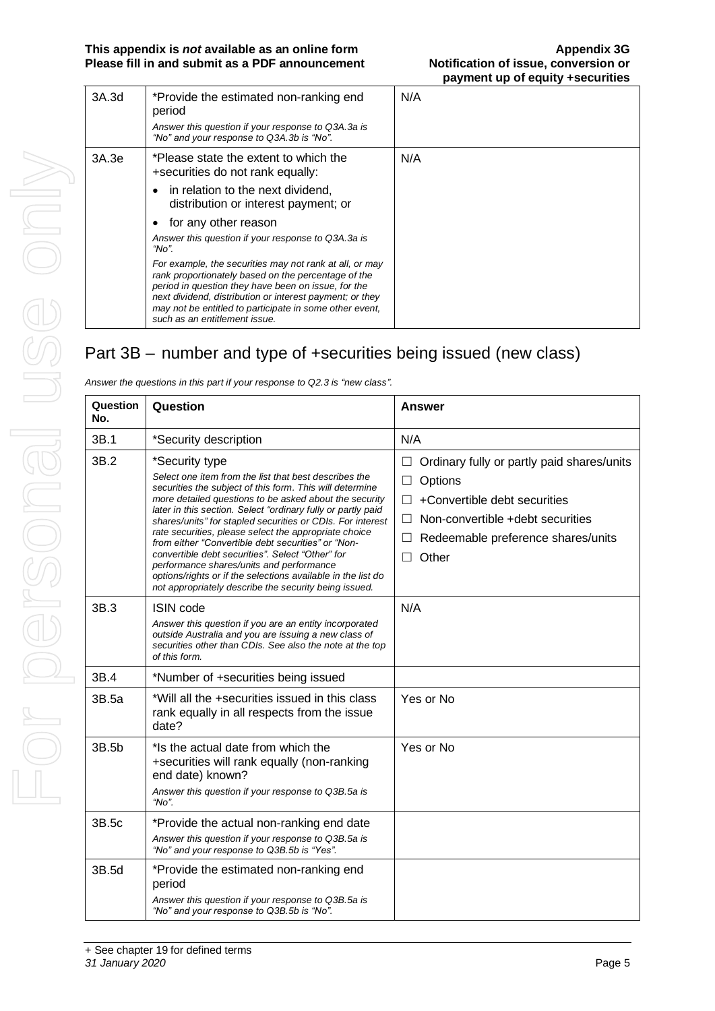| 3A.3d | *Provide the estimated non-ranking end<br>period<br>Answer this question if your response to Q3A.3a is<br>"No" and your response to Q3A.3b is "No".                                                                                                                                                                                                                                                                                                                                                                                                                                 | N/A |
|-------|-------------------------------------------------------------------------------------------------------------------------------------------------------------------------------------------------------------------------------------------------------------------------------------------------------------------------------------------------------------------------------------------------------------------------------------------------------------------------------------------------------------------------------------------------------------------------------------|-----|
| 3A.3e | *Please state the extent to which the<br>+securities do not rank equally:<br>in relation to the next dividend,<br>distribution or interest payment; or<br>for any other reason<br>٠<br>Answer this question if your response to Q3A.3a is<br>"No".<br>For example, the securities may not rank at all, or may<br>rank proportionately based on the percentage of the<br>period in question they have been on issue, for the<br>next dividend, distribution or interest payment; or they<br>may not be entitled to participate in some other event,<br>such as an entitlement issue. | N/A |

## Part 3B – number and type of +securities being issued (new class)

| Question<br>No. | Question                                                                                                                                                                                                                                                                                                                                                                                                                                                                                                                                                                                                                                                            | <b>Answer</b>                                                                                                                                                                                      |
|-----------------|---------------------------------------------------------------------------------------------------------------------------------------------------------------------------------------------------------------------------------------------------------------------------------------------------------------------------------------------------------------------------------------------------------------------------------------------------------------------------------------------------------------------------------------------------------------------------------------------------------------------------------------------------------------------|----------------------------------------------------------------------------------------------------------------------------------------------------------------------------------------------------|
| 3B.1            | *Security description                                                                                                                                                                                                                                                                                                                                                                                                                                                                                                                                                                                                                                               | N/A                                                                                                                                                                                                |
| 3B.2            | *Security type<br>Select one item from the list that best describes the<br>securities the subject of this form. This will determine<br>more detailed questions to be asked about the security<br>later in this section. Select "ordinary fully or partly paid<br>shares/units" for stapled securities or CDIs. For interest<br>rate securities, please select the appropriate choice<br>from either "Convertible debt securities" or "Non-<br>convertible debt securities". Select "Other" for<br>performance shares/units and performance<br>options/rights or if the selections available in the list do<br>not appropriately describe the security being issued. | Ordinary fully or partly paid shares/units<br>Options<br>$\Box$<br>+Convertible debt securities<br>Non-convertible +debt securities<br>H<br>Redeemable preference shares/units<br>Other<br>$\perp$ |
| 3B.3            | ISIN code<br>Answer this question if you are an entity incorporated<br>outside Australia and you are issuing a new class of<br>securities other than CDIs. See also the note at the top<br>of this form.                                                                                                                                                                                                                                                                                                                                                                                                                                                            | N/A                                                                                                                                                                                                |
| 3B.4            | *Number of +securities being issued                                                                                                                                                                                                                                                                                                                                                                                                                                                                                                                                                                                                                                 |                                                                                                                                                                                                    |
| 3B.5a           | *Will all the +securities issued in this class<br>rank equally in all respects from the issue<br>date?                                                                                                                                                                                                                                                                                                                                                                                                                                                                                                                                                              | Yes or No                                                                                                                                                                                          |
| 3B.5b           | *Is the actual date from which the<br>+securities will rank equally (non-ranking<br>end date) known?<br>Answer this question if your response to Q3B.5a is<br>"No".                                                                                                                                                                                                                                                                                                                                                                                                                                                                                                 | Yes or No                                                                                                                                                                                          |
| 3B.5c           | *Provide the actual non-ranking end date<br>Answer this question if your response to Q3B.5a is<br>"No" and your response to Q3B.5b is "Yes".                                                                                                                                                                                                                                                                                                                                                                                                                                                                                                                        |                                                                                                                                                                                                    |
| 3B.5d           | *Provide the estimated non-ranking end<br>period<br>Answer this question if your response to Q3B.5a is<br>"No" and your response to Q3B.5b is "No".                                                                                                                                                                                                                                                                                                                                                                                                                                                                                                                 |                                                                                                                                                                                                    |

*Answer the questions in this part if your response to Q2.3 is "new class".*

For personal use only

For personal

USS Only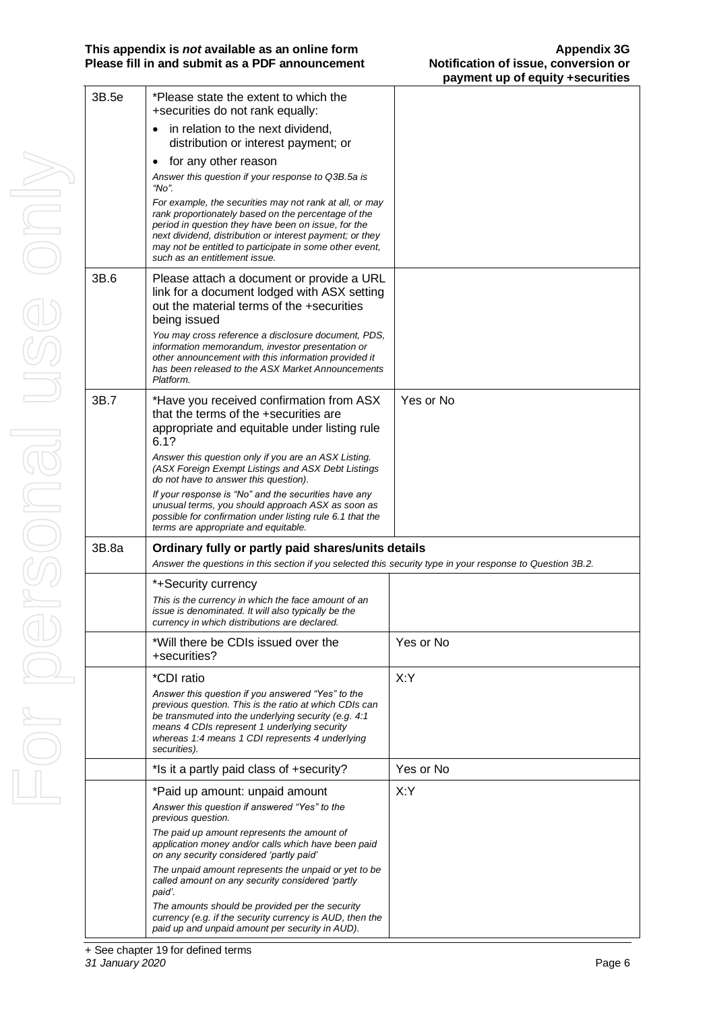| 3B.5e | *Please state the extent to which the<br>+securities do not rank equally:                                                                                                                                                                                                                                                     |           |
|-------|-------------------------------------------------------------------------------------------------------------------------------------------------------------------------------------------------------------------------------------------------------------------------------------------------------------------------------|-----------|
|       | in relation to the next dividend,<br>$\bullet$<br>distribution or interest payment; or                                                                                                                                                                                                                                        |           |
|       | for any other reason<br>٠                                                                                                                                                                                                                                                                                                     |           |
|       | Answer this question if your response to Q3B.5a is<br>"No".                                                                                                                                                                                                                                                                   |           |
|       | For example, the securities may not rank at all, or may<br>rank proportionately based on the percentage of the<br>period in question they have been on issue, for the<br>next dividend, distribution or interest payment; or they<br>may not be entitled to participate in some other event,<br>such as an entitlement issue. |           |
| 3B.6  | Please attach a document or provide a URL<br>link for a document lodged with ASX setting<br>out the material terms of the +securities<br>being issued                                                                                                                                                                         |           |
|       | You may cross reference a disclosure document, PDS,<br>information memorandum, investor presentation or<br>other announcement with this information provided it<br>has been released to the ASX Market Announcements<br>Platform.                                                                                             |           |
| 3B.7  | *Have you received confirmation from ASX<br>that the terms of the +securities are<br>appropriate and equitable under listing rule<br>6.1?                                                                                                                                                                                     | Yes or No |
|       | Answer this question only if you are an ASX Listing.<br>(ASX Foreign Exempt Listings and ASX Debt Listings<br>do not have to answer this question).                                                                                                                                                                           |           |
|       | If your response is "No" and the securities have any<br>unusual terms, you should approach ASX as soon as<br>possible for confirmation under listing rule 6.1 that the<br>terms are appropriate and equitable.                                                                                                                |           |
| 3B.8a | Ordinary fully or partly paid shares/units details<br>Answer the questions in this section if you selected this security type in your response to Question 3B.2.                                                                                                                                                              |           |
|       | *+Security currency                                                                                                                                                                                                                                                                                                           |           |
|       | This is the currency in which the face amount of an<br>issue is denominated. It will also typically be the<br>currency in which distributions are declared.                                                                                                                                                                   |           |
|       | *Will there be CDIs issued over the<br>+securities?                                                                                                                                                                                                                                                                           | Yes or No |
|       | *CDI ratio                                                                                                                                                                                                                                                                                                                    | X:Y       |
|       | Answer this question if you answered "Yes" to the<br>previous question. This is the ratio at which CDIs can<br>be transmuted into the underlying security (e.g. 4:1<br>means 4 CDIs represent 1 underlying security<br>whereas 1:4 means 1 CDI represents 4 underlying<br>securities).                                        |           |
|       | *Is it a partly paid class of +security?                                                                                                                                                                                                                                                                                      | Yes or No |
|       | *Paid up amount: unpaid amount                                                                                                                                                                                                                                                                                                | X:Y       |
|       | Answer this question if answered "Yes" to the<br>previous question.                                                                                                                                                                                                                                                           |           |
|       |                                                                                                                                                                                                                                                                                                                               |           |
|       | The paid up amount represents the amount of<br>application money and/or calls which have been paid<br>on any security considered 'partly paid'                                                                                                                                                                                |           |
|       | The unpaid amount represents the unpaid or yet to be<br>called amount on any security considered 'partly<br>paid'.                                                                                                                                                                                                            |           |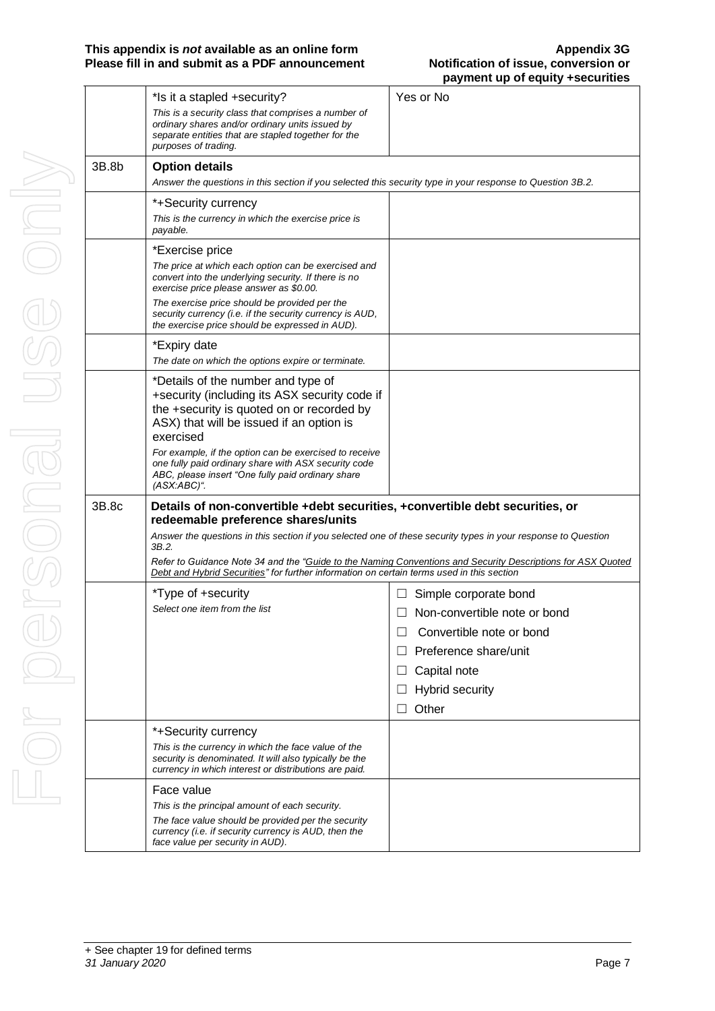|             |       | *Is it a stapled +security?                                                                                                                                                               | Yes or No                                                                                                   |
|-------------|-------|-------------------------------------------------------------------------------------------------------------------------------------------------------------------------------------------|-------------------------------------------------------------------------------------------------------------|
|             |       | This is a security class that comprises a number of<br>ordinary shares and/or ordinary units issued by<br>separate entities that are stapled together for the<br>purposes of trading.     |                                                                                                             |
|             | 3B.8b | <b>Option details</b><br>Answer the questions in this section if you selected this security type in your response to Question 3B.2.                                                       |                                                                                                             |
| VIDE)       |       | *+Security currency<br>This is the currency in which the exercise price is<br>payable.                                                                                                    |                                                                                                             |
|             |       | *Exercise price<br>The price at which each option can be exercised and<br>convert into the underlying security. If there is no<br>exercise price please answer as \$0.00.                 |                                                                                                             |
|             |       | The exercise price should be provided per the<br>security currency (i.e. if the security currency is AUD,<br>the exercise price should be expressed in AUD).                              |                                                                                                             |
|             |       | *Expiry date<br>The date on which the options expire or terminate.                                                                                                                        |                                                                                                             |
|             |       | *Details of the number and type of<br>+security (including its ASX security code if<br>the +security is quoted on or recorded by<br>ASX) that will be issued if an option is<br>exercised |                                                                                                             |
| <b>CONS</b> |       | For example, if the option can be exercised to receive<br>one fully paid ordinary share with ASX security code<br>ABC, please insert "One fully paid ordinary share<br>$(ASK:ABC)^{n}$ .  |                                                                                                             |
|             | 3B.8c | Details of non-convertible +debt securities, +convertible debt securities, or<br>redeemable preference shares/units                                                                       |                                                                                                             |
| $\bigcirc$  |       | Answer the questions in this section if you selected one of these security types in your response to Question<br>3B.2.                                                                    |                                                                                                             |
|             |       | Debt and Hybrid Securities" for further information on certain terms used in this section                                                                                                 | Refer to Guidance Note 34 and the "Guide to the Naming Conventions and Security Descriptions for ASX Quoted |
|             |       | *Type of +security                                                                                                                                                                        | Simple corporate bond<br>⊔                                                                                  |
|             |       | Select one item from the list                                                                                                                                                             | Non-convertible note or bond                                                                                |
|             |       |                                                                                                                                                                                           | Convertible note or bond                                                                                    |
|             |       |                                                                                                                                                                                           | Preference share/unit                                                                                       |
|             |       |                                                                                                                                                                                           | Capital note<br>ப                                                                                           |
|             |       |                                                                                                                                                                                           | Hybrid security                                                                                             |
|             |       |                                                                                                                                                                                           | Other                                                                                                       |
|             |       | *+Security currency                                                                                                                                                                       |                                                                                                             |
|             |       | This is the currency in which the face value of the<br>security is denominated. It will also typically be the<br>currency in which interest or distributions are paid.                    |                                                                                                             |
|             |       | Face value                                                                                                                                                                                |                                                                                                             |
|             |       | This is the principal amount of each security.                                                                                                                                            |                                                                                                             |
|             |       | The face value should be provided per the security<br>currency (i.e. if security currency is AUD, then the<br>face value per security in AUD).                                            |                                                                                                             |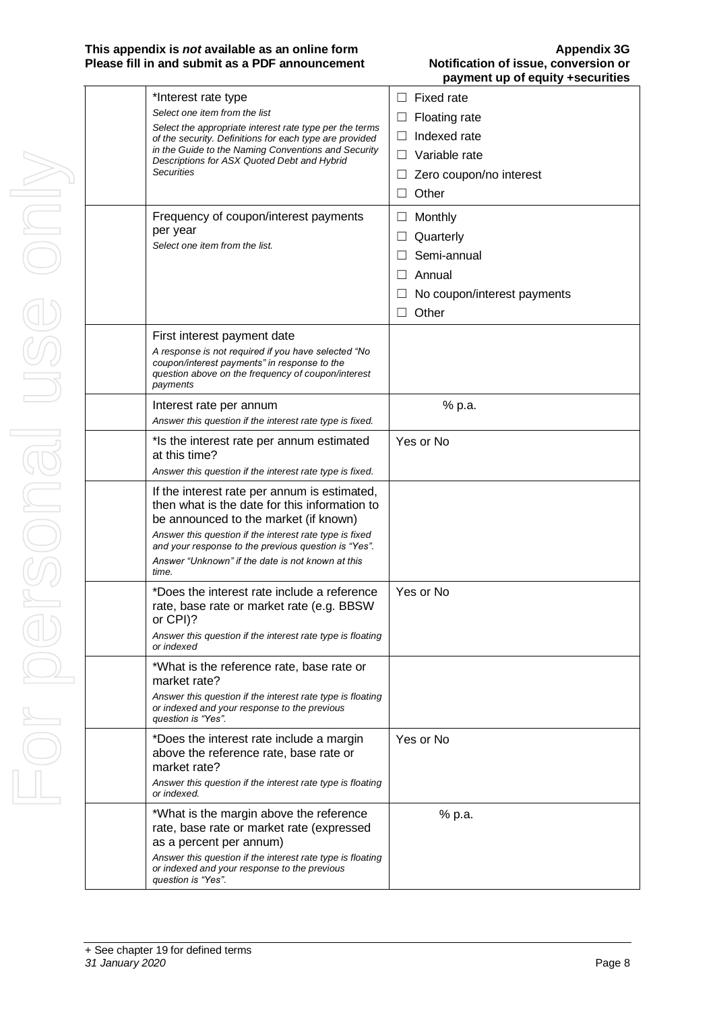Т

| *Interest rate type<br>Select one item from the list<br>Select the appropriate interest rate type per the terms<br>of the security. Definitions for each type are provided<br>in the Guide to the Naming Conventions and Security<br>Descriptions for ASX Quoted Debt and Hybrid<br><b>Securities</b><br>Frequency of coupon/interest payments<br>per year<br>Select one item from the list. | Fixed rate<br>П<br>Floating rate<br>Ш<br>Indexed rate<br>$\perp$<br>Variable rate<br>$\perp$<br>Zero coupon/no interest<br>$\mathsf{L}$<br>Other<br>Monthly<br>Ш<br>Quarterly<br>Semi-annual |
|----------------------------------------------------------------------------------------------------------------------------------------------------------------------------------------------------------------------------------------------------------------------------------------------------------------------------------------------------------------------------------------------|----------------------------------------------------------------------------------------------------------------------------------------------------------------------------------------------|
|                                                                                                                                                                                                                                                                                                                                                                                              | Annual<br>No coupon/interest payments<br>Other<br>ш                                                                                                                                          |
| First interest payment date<br>A response is not required if you have selected "No<br>coupon/interest payments" in response to the<br>question above on the frequency of coupon/interest<br>payments                                                                                                                                                                                         |                                                                                                                                                                                              |
| Interest rate per annum<br>Answer this question if the interest rate type is fixed.                                                                                                                                                                                                                                                                                                          | % p.a.                                                                                                                                                                                       |
| * Is the interest rate per annum estimated<br>at this time?<br>Answer this question if the interest rate type is fixed.                                                                                                                                                                                                                                                                      | Yes or No                                                                                                                                                                                    |
| If the interest rate per annum is estimated,<br>then what is the date for this information to<br>be announced to the market (if known)<br>Answer this question if the interest rate type is fixed<br>and your response to the previous question is "Yes".<br>Answer "Unknown" if the date is not known at this<br>time.                                                                      |                                                                                                                                                                                              |
| *Does the interest rate include a reference<br>rate, base rate or market rate (e.g. BBSW<br>or CPI)?<br>Answer this question if the interest rate type is floating<br>or indexed                                                                                                                                                                                                             | Yes or No                                                                                                                                                                                    |
| *What is the reference rate, base rate or<br>market rate?<br>Answer this question if the interest rate type is floating<br>or indexed and your response to the previous<br>question is "Yes".                                                                                                                                                                                                |                                                                                                                                                                                              |
| *Does the interest rate include a margin<br>above the reference rate, base rate or<br>market rate?<br>Answer this question if the interest rate type is floating<br>or indexed.                                                                                                                                                                                                              | Yes or No                                                                                                                                                                                    |
| *What is the margin above the reference<br>rate, base rate or market rate (expressed<br>as a percent per annum)<br>Answer this question if the interest rate type is floating<br>or indexed and your response to the previous<br>question is "Yes".                                                                                                                                          | % p.a.                                                                                                                                                                                       |

T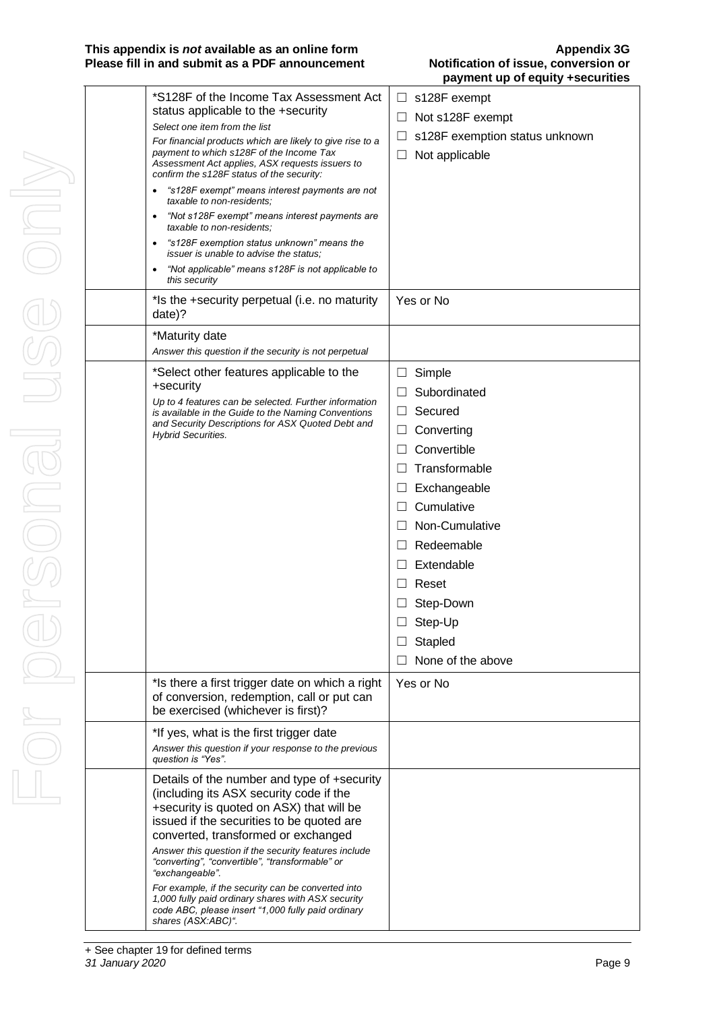| *S128F of the Income Tax Assessment Act<br>status applicable to the +security<br>Select one item from the list<br>For financial products which are likely to give rise to a<br>payment to which s128F of the Income Tax<br>Assessment Act applies, ASX requests issuers to<br>confirm the s128F status of the security:<br>"s128F exempt" means interest payments are not<br>taxable to non-residents;<br>"Not s128F exempt" means interest payments are<br>٠<br>taxable to non-residents;<br>"s128F exemption status unknown" means the<br>issuer is unable to advise the status;<br>"Not applicable" means s128F is not applicable to<br>$\bullet$<br>this security | s128F exempt<br>⊔<br>Not s128F exempt<br>ш<br>s128F exemption status unknown<br>Not applicable<br>ப                                                                                                                                                                      |
|-----------------------------------------------------------------------------------------------------------------------------------------------------------------------------------------------------------------------------------------------------------------------------------------------------------------------------------------------------------------------------------------------------------------------------------------------------------------------------------------------------------------------------------------------------------------------------------------------------------------------------------------------------------------------|--------------------------------------------------------------------------------------------------------------------------------------------------------------------------------------------------------------------------------------------------------------------------|
| *Is the +security perpetual (i.e. no maturity<br>date)?                                                                                                                                                                                                                                                                                                                                                                                                                                                                                                                                                                                                               | Yes or No                                                                                                                                                                                                                                                                |
| *Maturity date<br>Answer this question if the security is not perpetual                                                                                                                                                                                                                                                                                                                                                                                                                                                                                                                                                                                               |                                                                                                                                                                                                                                                                          |
| *Select other features applicable to the<br>+security<br>Up to 4 features can be selected. Further information<br>is available in the Guide to the Naming Conventions<br>and Security Descriptions for ASX Quoted Debt and<br><b>Hybrid Securities.</b>                                                                                                                                                                                                                                                                                                                                                                                                               | Simple<br>⊔<br>Subordinated<br>Secured<br>$\perp$<br>Converting<br>⊔<br>Convertible<br>Transformable<br>Exchangeable<br>ப<br>Cumulative<br>Non-Cumulative<br>Redeemable<br>$\perp$<br>Extendable<br>Reset<br>Step-Down<br>$\Box$ Step-Up<br>Stapled<br>None of the above |
| *Is there a first trigger date on which a right<br>of conversion, redemption, call or put can<br>be exercised (whichever is first)?                                                                                                                                                                                                                                                                                                                                                                                                                                                                                                                                   | Yes or No                                                                                                                                                                                                                                                                |
| *If yes, what is the first trigger date<br>Answer this question if your response to the previous<br>question is "Yes".                                                                                                                                                                                                                                                                                                                                                                                                                                                                                                                                                |                                                                                                                                                                                                                                                                          |
| Details of the number and type of +security<br>(including its ASX security code if the<br>+security is quoted on ASX) that will be<br>issued if the securities to be quoted are<br>converted, transformed or exchanged<br>Answer this question if the security features include<br>"converting", "convertible", "transformable" or<br>"exchangeable".<br>For example, if the security can be converted into<br>1,000 fully paid ordinary shares with ASX security<br>code ABC, please insert "1,000 fully paid ordinary<br>shares (ASX:ABC)".                                                                                                                         |                                                                                                                                                                                                                                                                          |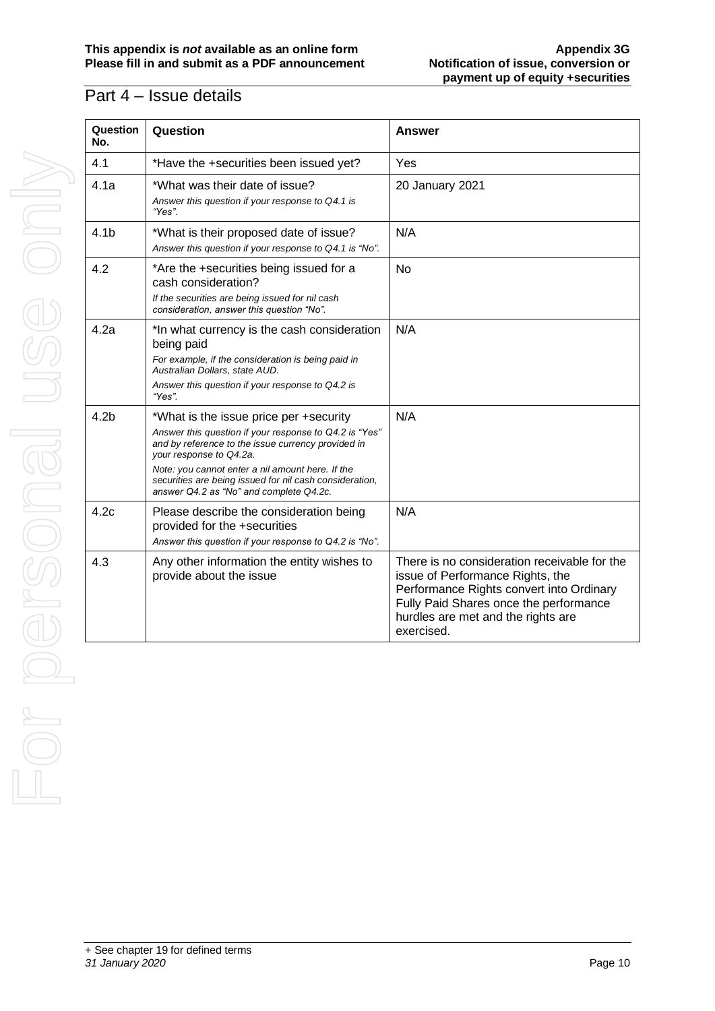#### $\overline{Part 4}$  – Issue details

| Question<br>No.  | Question                                                                                                                                                                                                                                                                                                                                    | <b>Answer</b>                                                                                                                                                                                                              |
|------------------|---------------------------------------------------------------------------------------------------------------------------------------------------------------------------------------------------------------------------------------------------------------------------------------------------------------------------------------------|----------------------------------------------------------------------------------------------------------------------------------------------------------------------------------------------------------------------------|
| 4.1              | *Have the +securities been issued yet?                                                                                                                                                                                                                                                                                                      | Yes                                                                                                                                                                                                                        |
| 4.1a             | *What was their date of issue?<br>Answer this question if your response to Q4.1 is<br>"Yes".                                                                                                                                                                                                                                                | 20 January 2021                                                                                                                                                                                                            |
| 4.1 <sub>b</sub> | *What is their proposed date of issue?<br>Answer this question if your response to Q4.1 is "No".                                                                                                                                                                                                                                            | N/A                                                                                                                                                                                                                        |
| 4.2              | *Are the +securities being issued for a<br>cash consideration?<br>If the securities are being issued for nil cash<br>consideration, answer this question "No".                                                                                                                                                                              | <b>No</b>                                                                                                                                                                                                                  |
| 4.2a             | *In what currency is the cash consideration<br>being paid<br>For example, if the consideration is being paid in<br>Australian Dollars, state AUD.<br>Answer this question if your response to Q4.2 is<br>"Yes".                                                                                                                             | N/A                                                                                                                                                                                                                        |
| 4.2 <sub>b</sub> | *What is the issue price per +security<br>Answer this question if your response to Q4.2 is "Yes"<br>and by reference to the issue currency provided in<br>your response to Q4.2a.<br>Note: you cannot enter a nil amount here. If the<br>securities are being issued for nil cash consideration,<br>answer Q4.2 as "No" and complete Q4.2c. | N/A                                                                                                                                                                                                                        |
| 4.2c             | Please describe the consideration being<br>provided for the +securities<br>Answer this question if your response to Q4.2 is "No".                                                                                                                                                                                                           | N/A                                                                                                                                                                                                                        |
| 4.3              | Any other information the entity wishes to<br>provide about the issue                                                                                                                                                                                                                                                                       | There is no consideration receivable for the<br>issue of Performance Rights, the<br>Performance Rights convert into Ordinary<br>Fully Paid Shares once the performance<br>hurdles are met and the rights are<br>exercised. |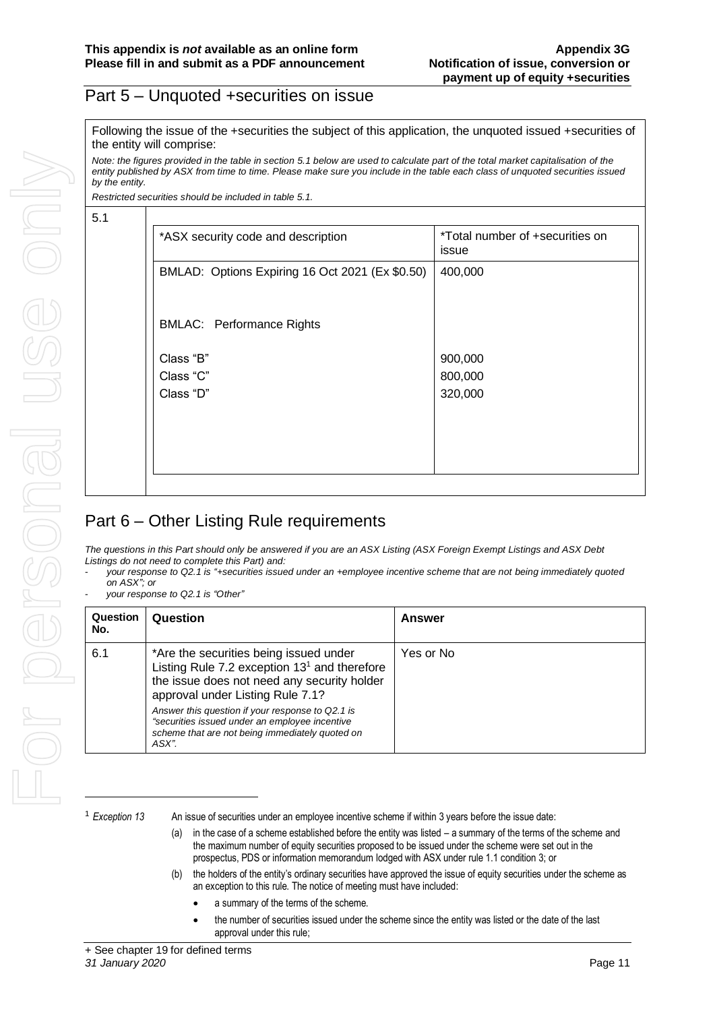#### Part 5 – Unquoted +securities on issue

Following the issue of the +securities the subject of this application, the unquoted issued +securities of the entity will comprise:

*Note: the figures provided in the table in section 5.1 below are used to calculate part of the total market capitalisation of the entity published by ASX from time to time. Please make sure you include in the table each class of unquoted securities issued by the entity.*

*Restricted securities should be included in table 5.1.*

| ٠      | I<br>×. |
|--------|---------|
| ı<br>÷ |         |

| *ASX security code and description              | *Total number of +securities on<br>issue |
|-------------------------------------------------|------------------------------------------|
| BMLAD: Options Expiring 16 Oct 2021 (Ex \$0.50) | 400,000                                  |
|                                                 |                                          |
| <b>BMLAC: Performance Rights</b>                |                                          |
| Class "B"                                       | 900,000                                  |
| Class "C"                                       | 800,000                                  |
| Class "D"                                       | 320,000                                  |
|                                                 |                                          |
|                                                 |                                          |
|                                                 |                                          |
|                                                 |                                          |

## Part 6 – Other Listing Rule requirements

*The questions in this Part should only be answered if you are an ASX Listing (ASX Foreign Exempt Listings and ASX Debt Listings do not need to complete this Part) and:*

- *your response to Q2.1 is "+securities issued under an +employee incentive scheme that are not being immediately quoted on ASX"; or*
- *your response to Q2.1 is "Other"*

| Question<br>No. | Question                                                                                                                                                                                                                                                                                                                                      | Answer    |
|-----------------|-----------------------------------------------------------------------------------------------------------------------------------------------------------------------------------------------------------------------------------------------------------------------------------------------------------------------------------------------|-----------|
| 6.1             | *Are the securities being issued under<br>Listing Rule 7.2 exception $131$ and therefore<br>the issue does not need any security holder<br>approval under Listing Rule 7.1?<br>Answer this question if your response to Q2.1 is<br>"securities issued under an employee incentive<br>scheme that are not being immediately quoted on<br>ASX". | Yes or No |

<sup>1</sup> *Exception 13* An issue of securities under an employee incentive scheme if within 3 years before the issue date:

- (a) in the case of a scheme established before the entity was listed a summary of the terms of the scheme and the maximum number of equity securities proposed to be issued under the scheme were set out in the prospectus, PDS or information memorandum lodged with ASX under rule 1.1 condition 3; or
- (b) the holders of the entity's ordinary securities have approved the issue of equity securities under the scheme as an exception to this rule. The notice of meeting must have included:
	- a summary of the terms of the scheme.
	- the number of securities issued under the scheme since the entity was listed or the date of the last approval under this rule;